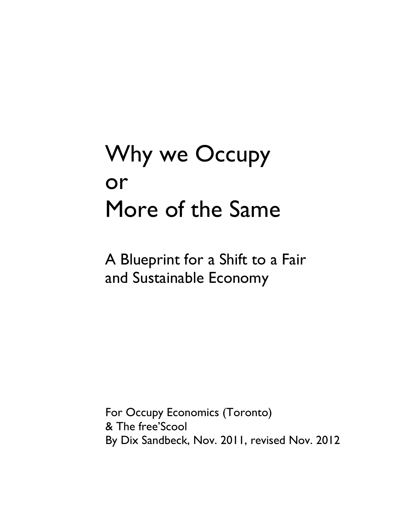# Why we Occupy or More of the Same

A Blueprint for a Shift to a Fair and Sustainable Economy

For Occupy Economics (Toronto) & The free'Scool By Dix Sandbeck, Nov. 2011, revised Nov. 2012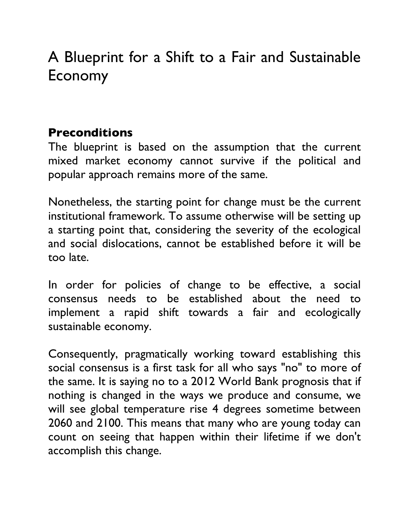## A Blueprint for a Shift to a Fair and Sustainable Economy

#### **Preconditions**

The blueprint is based on the assumption that the current mixed market economy cannot survive if the political and popular approach remains more of the same.

Nonetheless, the starting point for change must be the current institutional framework. To assume otherwise will be setting up a starting point that, considering the severity of the ecological and social dislocations, cannot be established before it will be too late.

In order for policies of change to be effective, a social consensus needs to be established about the need to implement a rapid shift towards a fair and ecologically sustainable economy.

Consequently, pragmatically working toward establishing this social consensus is a first task for all who says "no" to more of the same. It is saying no to a 2012 World Bank prognosis that if nothing is changed in the ways we produce and consume, we will see global temperature rise 4 degrees sometime between 2060 and 2100. This means that many who are young today can count on seeing that happen within their lifetime if we don't accomplish this change.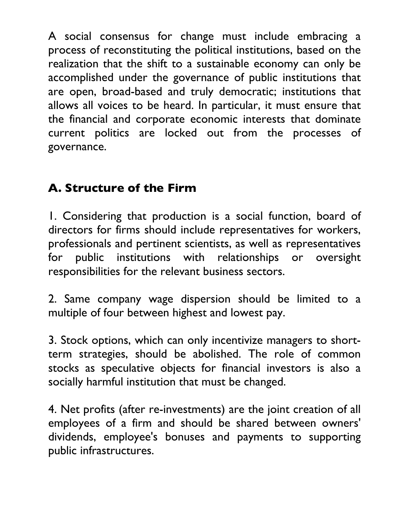A social consensus for change must include embracing a process of reconstituting the political institutions, based on the realization that the shift to a sustainable economy can only be accomplished under the governance of public institutions that are open, broad-based and truly democratic; institutions that allows all voices to be heard. In particular, it must ensure that the financial and corporate economic interests that dominate current politics are locked out from the processes of governance.

#### **A. Structure of the Firm**

1. Considering that production is a social function, board of directors for firms should include representatives for workers, professionals and pertinent scientists, as well as representatives for public institutions with relationships or oversight responsibilities for the relevant business sectors.

2. Same company wage dispersion should be limited to a multiple of four between highest and lowest pay.

3. Stock options, which can only incentivize managers to shortterm strategies, should be abolished. The role of common stocks as speculative objects for financial investors is also a socially harmful institution that must be changed.

4. Net profits (after re-investments) are the joint creation of all employees of a firm and should be shared between owners 'dividends, employee's bonuses and payments to supporting public infrastructures.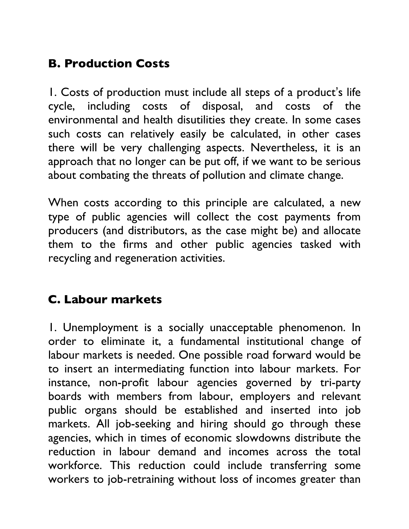### **B. Production Costs**

1. Costs of production must include all steps of a product's life cycle, including costs of disposal, and costs of the environmental and health disutilities they create. In some cases such costs can relatively easily be calculated, in other cases there will be very challenging aspects. Nevertheless, it is an approach that no longer can be put off, if we want to be serious about combating the threats of pollution and climate change.

When costs according to this principle are calculated, a new type of public agencies will collect the cost payments from producers (and distributors, as the case might be) and allocate them to the firms and other public agencies tasked with recycling and regeneration activities.

#### **C. Labour markets**

1. Unemployment is a socially unacceptable phenomenon. In order to eliminate it, a fundamental institutional change of labour markets is needed. One possible road forward would be to insert an intermediating function into labour markets. For instance, non-profit labour agencies governed by tri-party boards with members from labour, employers and relevant public organs should be established and inserted into job markets. All job-seeking and hiring should go through these agencies, which in times of economic slowdowns distribute the reduction in labour demand and incomes across the total workforce. This reduction could include transferring some workers to job-retraining without loss of incomes greater than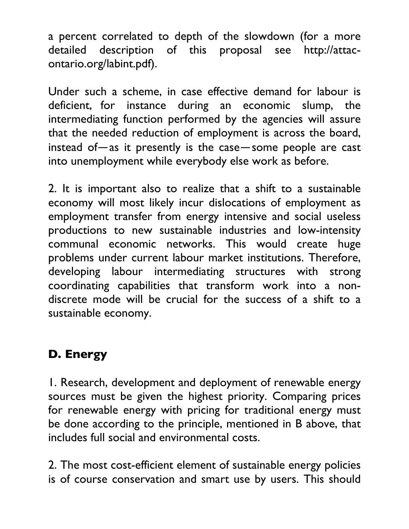a percent correlated to depth of the slowdown (for a more detailed description of this proposal see http://attacontario.org/labint.pdf).

Under such a scheme, in case effective demand for labour is deficient, for instance during an economic slump, the intermediating function performed by the agencies will assure that the needed reduction of employment is across the board, instead of—as it presently is the case—some people are cast into unemployment while everybody else work as before.

2. It is important also to realize that a shift to a sustainable economy will most likely incur dislocations of employment as employment transfer from energy intensive and social useless productions to new sustainable industries and low-intensity communal economic networks. This would create huge problems under current labour market institutions. Therefore, developing labour intermediating structures with strong coordinating capabilities that transform work into a nondiscrete mode will be crucial for the success of a shift to a sustainable economy.

#### **D. Energy**

1. Research, development and deployment of renewable energy sources must be given the highest priority. Comparing prices for renewable energy with pricing for traditional energy must be done according to the principle, mentioned in B above, that includes full social and environmental costs.

2. The most cost-efficient element of sustainable energy policies is of course conservation and smart use by users. This should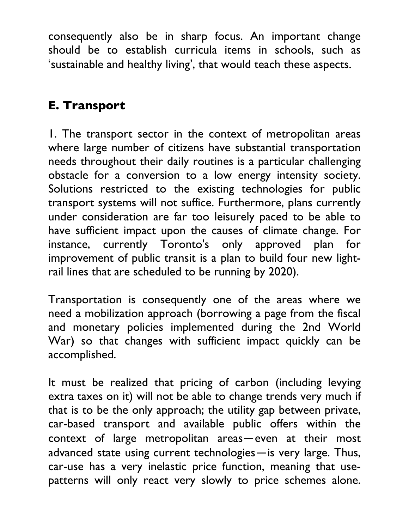consequently also be in sharp focus. An important change should be to establish curricula items in schools, such as 'sustainable and healthy living', that would teach these aspects.

#### **E. Transport**

1. The transport sector in the context of metropolitan areas where large number of citizens have substantial transportation needs throughout their daily routines is a particular challenging obstacle for a conversion to a low energy intensity society. Solutions restricted to the existing technologies for public transport systems will not suffice. Furthermore, plans currently under consideration are far too leisurely paced to be able to have sufficient impact upon the causes of climate change. For instance, currently Toronto's only approved plan for improvement of public transit is a plan to build four new lightrail lines that are scheduled to be running by 2020).

Transportation is consequently one of the areas where we need a mobilization approach (borrowing a page from the fiscal and monetary policies implemented during the 2nd World War) so that changes with sufficient impact quickly can be accomplished.

It must be realized that pricing of carbon (including levying extra taxes on it) will not be able to change trends very much if that is to be the only approach; the utility gap between private, car-based transport and available public offers within the context of large metropolitan areas—even at their most advanced state using current technologies—is very large. Thus, car-use has a very inelastic price function, meaning that usepatterns will only react very slowly to price schemes alone.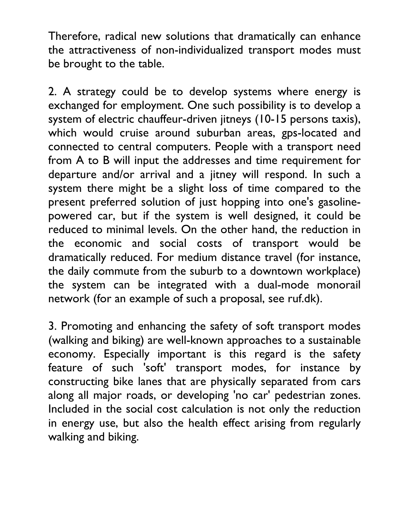Therefore, radical new solutions that dramatically can enhance the attractiveness of non-individualized transport modes must be brought to the table.

2. A strategy could be to develop systems where energy is exchanged for employment. One such possibility is to develop a system of electric chauffeur-driven jitneys (10-15 persons taxis), which would cruise around suburban areas, gps-located and connected to central computers. People with a transport need from A to B will input the addresses and time requirement for departure and/or arrival and a jitney will respond. In such a system there might be a slight loss of time compared to the present preferred solution of just hopping into one's gasolinepowered car, but if the system is well designed, it could be reduced to minimal levels. On the other hand, the reduction in the economic and social costs of transport would be dramatically reduced. For medium distance travel (for instance, the daily commute from the suburb to a downtown workplace) the system can be integrated with a dual-mode monorail network (for an example of such a proposal, see ruf.dk).

3. Promoting and enhancing the safety of soft transport modes (walking and biking) are well-known approaches to a sustainable economy. Especially important is this regard is the safety feature of such 'soft' transport modes, for instance by constructing bike lanes that are physically separated from cars along all major roads, or developing 'no car' pedestrian zones. Included in the social cost calculation is not only the reduction in energy use, but also the health effect arising from regularly walking and biking.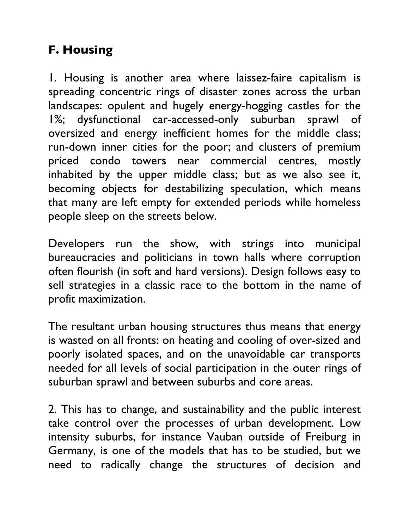#### **F. Housing**

1. Housing is another area where laissez-faire capitalism is spreading concentric rings of disaster zones across the urban landscapes: opulent and hugely energy-hogging castles for the 1%; dysfunctional car-accessed-only suburban sprawl of oversized and energy inefficient homes for the middle class; run-down inner cities for the poor; and clusters of premium priced condo towers near commercial centres, mostly inhabited by the upper middle class; but as we also see it, becoming objects for destabilizing speculation, which means that many are left empty for extended periods while homeless people sleep on the streets below.

Developers run the show, with strings into municipal bureaucracies and politicians in town halls where corruption often flourish (in soft and hard versions). Design follows easy to sell strategies in a classic race to the bottom in the name of profit maximization.

The resultant urban housing structures thus means that energy is wasted on all fronts: on heating and cooling of over-sized and poorly isolated spaces, and on the unavoidable car transports needed for all levels of social participation in the outer rings of suburban sprawl and between suburbs and core areas.

2. This has to change, and sustainability and the public interest take control over the processes of urban development. Low intensity suburbs, for instance Vauban outside of Freiburg in Germany, is one of the models that has to be studied, but we need to radically change the structures of decision and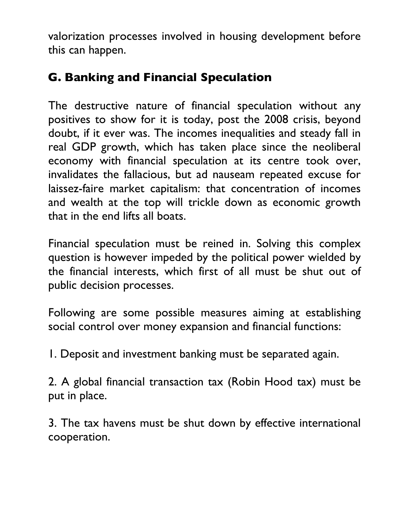valorization processes involved in housing development before this can happen.

#### **G. Banking and Financial Speculation**

The destructive nature of financial speculation without any positives to show for it is today, post the 2008 crisis, beyond doubt, if it ever was. The incomes inequalities and steady fall in real GDP growth, which has taken place since the neoliberal economy with financial speculation at its centre took over, invalidates the fallacious, but ad nauseam repeated excuse for laissez-faire market capitalism: that concentration of incomes and wealth at the top will trickle down as economic growth that in the end lifts all boats.

Financial speculation must be reined in. Solving this complex question is however impeded by the political power wielded by the financial interests, which first of all must be shut out of public decision processes.

Following are some possible measures aiming at establishing social control over money expansion and financial functions:

1. Deposit and investment banking must be separated again.

2. A global financial transaction tax (Robin Hood tax) must be put in place.

3. The tax havens must be shut down by effective international cooperation.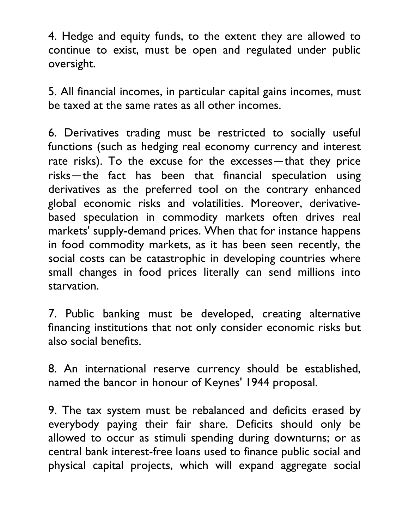4. Hedge and equity funds, to the extent they are allowed to continue to exist, must be open and regulated under public oversight.

5. All financial incomes, in particular capital gains incomes, must be taxed at the same rates as all other incomes.

6. Derivatives trading must be restricted to socially useful functions (such as hedging real economy currency and interest rate risks). To the excuse for the excesses—that they price risks—the fact has been that financial speculation using derivatives as the preferred tool on the contrary enhanced global economic risks and volatilities. Moreover, derivativebased speculation in commodity markets often drives real markets' supply-demand prices. When that for instance happens in food commodity markets, as it has been seen recently, the social costs can be catastrophic in developing countries where small changes in food prices literally can send millions into starvation.

7. Public banking must be developed, creating alternative financing institutions that not only consider economic risks but also social benefits.

8. An international reserve currency should be established, named the bancor in honour of Keynes' 1944 proposal.

9. The tax system must be rebalanced and deficits erased by everybody paying their fair share. Deficits should only be allowed to occur as stimuli spending during downturns; or as central bank interest-free loans used to finance public social and physical capital projects, which will expand aggregate social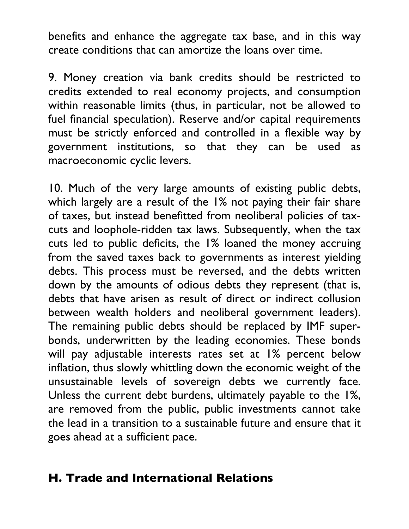benefits and enhance the aggregate tax base, and in this way create conditions that can amortize the loans over time.

9. Money creation via bank credits should be restricted to credits extended to real economy projects, and consumption within reasonable limits (thus, in particular, not be allowed to fuel financial speculation). Reserve and/or capital requirements must be strictly enforced and controlled in a flexible way by government institutions, so that they can be used as macroeconomic cyclic levers.

10. Much of the very large amounts of existing public debts, which largely are a result of the 1% not paying their fair share of taxes, but instead benefitted from neoliberal policies of taxcuts and loophole-ridden tax laws. Subsequently, when the tax cuts led to public deficits, the 1% loaned the money accruing from the saved taxes back to governments as interest yielding debts. This process must be reversed, and the debts written down by the amounts of odious debts they represent (that is, debts that have arisen as result of direct or indirect collusion between wealth holders and neoliberal government leaders). The remaining public debts should be replaced by IMF superbonds, underwritten by the leading economies. These bonds will pay adjustable interests rates set at 1% percent below inflation, thus slowly whittling down the economic weight of the unsustainable levels of sovereign debts we currently face. Unless the current debt burdens, ultimately payable to the 1%, are removed from the public, public investments cannot take the lead in a transition to a sustainable future and ensure that it goes ahead at a sufficient pace.

#### **H. Trade and International Relations**